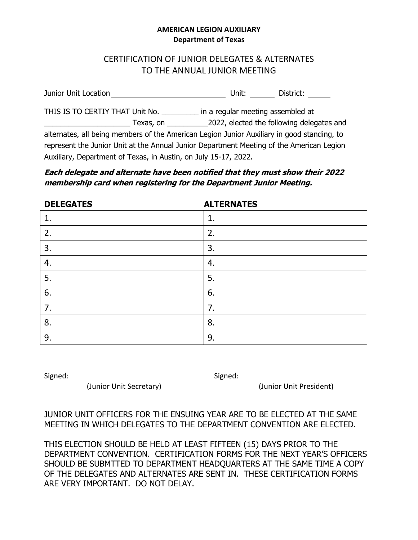#### **AMERICAN LEGION AUXILIARY Department of Texas**

# CERTIFICATION OF JUNIOR DELEGATES & ALTERNATES TO THE ANNUAL JUNIOR MEETING

Junior Unit Location Material Control of Location Unit: Material District: National District:

THIS IS TO CERTIY THAT Unit No. \_\_\_\_\_\_\_\_\_ in a regular meeting assembled at \_\_\_\_\_\_\_\_\_\_\_\_\_\_\_\_\_\_\_\_\_ Texas, on \_\_\_\_\_\_\_\_\_\_2022, elected the following delegates and alternates, all being members of the American Legion Junior Auxiliary in good standing, to represent the Junior Unit at the Annual Junior Department Meeting of the American Legion Auxiliary, Department of Texas, in Austin, on July 15-17, 2022.

### **Each delegate and alternate have been notified that they must show their 2022 membership card when registering for the Department Junior Meeting.**

| <b>DELEGATES</b> | <b>ALTERNATES</b> |
|------------------|-------------------|
| 1.               | 1.                |
| 2.               | 2.                |
| 3.               | 3.                |
| 4.               | 4.                |
| 5.               | 5.                |
| 6.               | 6.                |
| 7.               | 7.                |
| 8.               | 8.                |
| 9.               | 9.                |

Signed: Signed:

(Junior Unit Secretary) (Junior Unit President)

JUNIOR UNIT OFFICERS FOR THE ENSUING YEAR ARE TO BE ELECTED AT THE SAME MEETING IN WHICH DELEGATES TO THE DEPARTMENT CONVENTION ARE ELECTED.

THIS ELECTION SHOULD BE HELD AT LEAST FIFTEEN (15) DAYS PRIOR TO THE DEPARTMENT CONVENTION. CERTIFICATION FORMS FOR THE NEXT YEAR'S OFFICERS SHOULD BE SUBMTTED TO DEPARTMENT HEADQUARTERS AT THE SAME TIME A COPY OF THE DELEGATES AND ALTERNATES ARE SENT IN. THESE CERTIFICATION FORMS ARE VERY IMPORTANT. DO NOT DELAY.